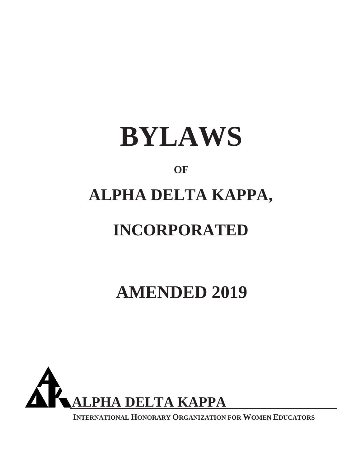

# **OF**

# **ALPHA DELTA KAPPA,**

# **INCORPORATED**

# **AMENDED 2019**



**INTERNATIONAL HONORARY ORGANIZATION FOR WOMEN EDUCATORS**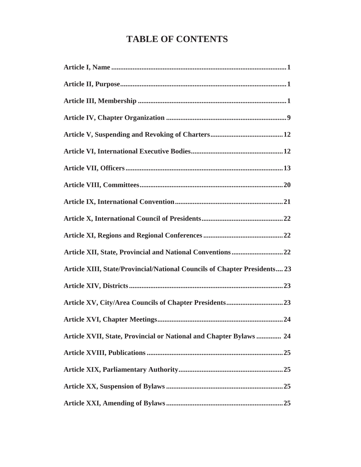# **TABLE OF CONTENTS**

| Article XIII, State/Provincial/National Councils of Chapter Presidents 23 |
|---------------------------------------------------------------------------|
|                                                                           |
|                                                                           |
|                                                                           |
| Article XVII, State, Provincial or National and Chapter Bylaws  24        |
|                                                                           |
|                                                                           |
|                                                                           |
|                                                                           |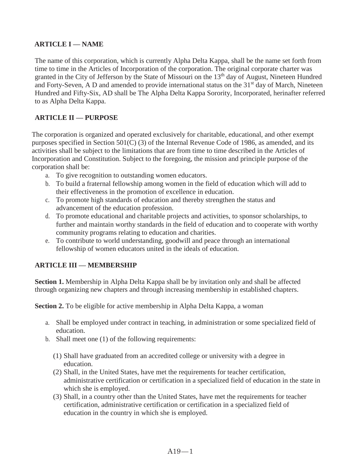## **ARTICLE I — NAME**

The name of this corporation, which is currently Alpha Delta Kappa, shall be the name set forth from time to time in the Articles of Incorporation of the corporation. The original corporate charter was granted in the City of Jefferson by the State of Missouri on the  $13<sup>th</sup>$  day of August, Nineteen Hundred and Forty-Seven, A D and amended to provide international status on the 31<sup>st</sup> day of March, Nineteen Hundred and Fifty-Six, AD shall be The Alpha Delta Kappa Sorority, Incorporated, herinafter referred to as Alpha Delta Kappa.

# **ARTICLE II — PURPOSE**

The corporation is organized and operated exclusively for charitable, educational, and other exempt purposes specified in Section 501(C) (3) of the Internal Revenue Code of 1986, as amended, and its activities shall be subject to the limitations that are from time to time described in the Articles of Incorporation and Constitution. Subject to the foregoing, the mission and principle purpose of the corporation shall be:

- a. To give recognition to outstanding women educators.
- b. To build a fraternal fellowship among women in the field of education which will add to their effectiveness in the promotion of excellence in education.
- c. To promote high standards of education and thereby strengthen the status and advancement of the education profession.
- d. To promote educational and charitable projects and activities, to sponsor scholarships, to further and maintain worthy standards in the field of education and to cooperate with worthy community programs relating to education and charities.
- e. To contribute to world understanding, goodwill and peace through an international fellowship of women educators united in the ideals of education.

### **ARTICLE III — MEMBERSHIP**

**Section 1.** Membership in Alpha Delta Kappa shall be by invitation only and shall be affected through organizing new chapters and through increasing membership in established chapters.

**Section 2.** To be eligible for active membership in Alpha Delta Kappa, a woman

- a. Shall be employed under contract in teaching, in administration or some specialized field of education.
- b. Shall meet one (1) of the following requirements:
	- (1) Shall have graduated from an accredited college or university with a degree in education.
	- (2) Shall, in the United States, have met the requirements for teacher certification, administrative certification or certification in a specialized field of education in the state in which she is employed.
	- (3) Shall, in a country other than the United States, have met the requirements for teacher certification, administrative certification or certification in a specialized field of education in the country in which she is employed.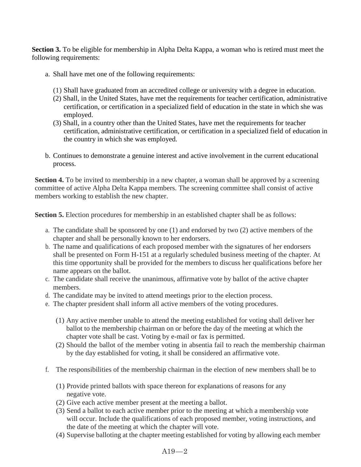**Section 3.** To be eligible for membership in Alpha Delta Kappa, a woman who is retired must meet the following requirements:

- a. Shall have met one of the following requirements:
	- (1) Shall have graduated from an accredited college or university with a degree in education.
	- (2) Shall, in the United States, have met the requirements for teacher certification, administrative certification, or certification in a specialized field of education in the state in which she was employed.
	- (3) Shall, in a country other than the United States, have met the requirements for teacher certification, administrative certification, or certification in a specialized field of education in the country in which she was employed.
- b. Continues to demonstrate a genuine interest and active involvement in the current educational process.

**Section 4.** To be invited to membership in a new chapter, a woman shall be approved by a screening committee of active Alpha Delta Kappa members. The screening committee shall consist of active members working to establish the new chapter.

**Section 5.** Election procedures for membership in an established chapter shall be as follows:

- a. The candidate shall be sponsored by one (1) and endorsed by two (2) active members of the chapter and shall be personally known to her endorsers.
- b. The name and qualifications of each proposed member with the signatures of her endorsers shall be presented on Form H-151 at a regularly scheduled business meeting of the chapter. At this time opportunity shall be provided for the members to discuss her qualifications before her name appears on the ballot.
- c. The candidate shall receive the unanimous, affirmative vote by ballot of the active chapter members.
- d. The candidate may be invited to attend meetings prior to the election process.
- e. The chapter president shall inform all active members of the voting procedures.
	- (1) Any active member unable to attend the meeting established for voting shall deliver her ballot to the membership chairman on or before the day of the meeting at which the chapter vote shall be cast. Voting by e-mail or fax is permitted.
	- (2) Should the ballot of the member voting in absentia fail to reach the membership chairman by the day established for voting, it shall be considered an affirmative vote.
- f. The responsibilities of the membership chairman in the election of new members shall be to
	- (1) Provide printed ballots with space thereon for explanations of reasons for any negative vote.
	- (2) Give each active member present at the meeting a ballot.
	- (3) Send a ballot to each active member prior to the meeting at which a membership vote will occur. Include the qualifications of each proposed member, voting instructions, and the date of the meeting at which the chapter will vote.
	- (4) Supervise balloting at the chapter meeting established for voting by allowing each member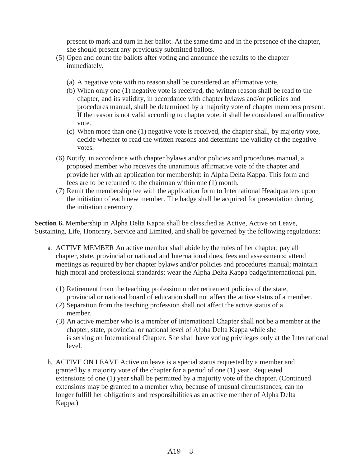present to mark and turn in her ballot. At the same time and in the presence of the chapter, she should present any previously submitted ballots.

- (5) Open and count the ballots after voting and announce the results to the chapter immediately.
	- (a) A negative vote with no reason shall be considered an affirmative vote.
	- (b) When only one (1) negative vote is received, the written reason shall be read to the chapter, and its validity, in accordance with chapter bylaws and/or policies and procedures manual, shall be determined by a majority vote of chapter members present. If the reason is not valid according to chapter vote, it shall be considered an affirmative vote.
	- (c) When more than one (1) negative vote is received, the chapter shall, by majority vote, decide whether to read the written reasons and determine the validity of the negative votes.
- (6) Notify, in accordance with chapter bylaws and/or policies and procedures manual, a proposed member who receives the unanimous affirmative vote of the chapter and provide her with an application for membership in Alpha Delta Kappa. This form and fees are to be returned to the chairman within one (1) month.
- (7) Remit the membership fee with the application form to International Headquarters upon the initiation of each new member. The badge shall be acquired for presentation during the initiation ceremony.

**Section 6.** Membership in Alpha Delta Kappa shall be classified as Active, Active on Leave, Sustaining, Life, Honorary, Service and Limited, and shall be governed by the following regulations:

- a. ACTIVE MEMBER An active member shall abide by the rules of her chapter; pay all chapter, state, provincial or national and International dues, fees and assessments; attend meetings as required by her chapter bylaws and/or policies and procedures manual; maintain high moral and professional standards; wear the Alpha Delta Kappa badge/international pin.
	- (1) Retirement from the teaching profession under retirement policies of the state, provincial or national board of education shall not affect the active status of a member.
	- (2) Separation from the teaching profession shall not affect the active status of a member.
	- (3) An active member who is a member of International Chapter shall not be a member at the chapter, state, provincial or national level of Alpha Delta Kappa while she is serving on International Chapter. She shall have voting privileges only at the International level.
- b. ACTIVE ON LEAVE Active on leave is a special status requested by a member and granted by a majority vote of the chapter for a period of one (1) year. Requested extensions of one (1) year shall be permitted by a majority vote of the chapter. (Continued extensions may be granted to a member who, because of unusual circumstances, can no longer fulfill her obligations and responsibilities as an active member of Alpha Delta Kappa.)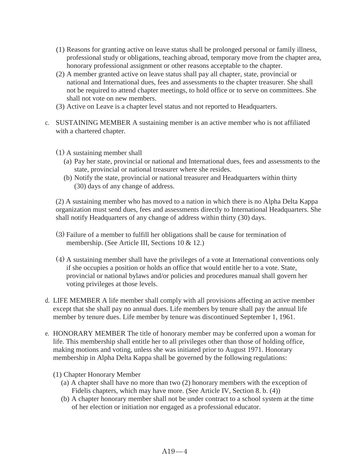- (1) Reasons for granting active on leave status shall be prolonged personal or family illness, professional study or obligations, teaching abroad, temporary move from the chapter area, honorary professional assignment or other reasons acceptable to the chapter.
- (2) A member granted active on leave status shall pay all chapter, state, provincial or national and International dues, fees and assessments to the chapter treasurer. She shall not be required to attend chapter meetings, to hold office or to serve on committees. She shall not vote on new members.
- (3) Active on Leave is a chapter level status and not reported to Headquarters.
- c. SUSTAINING MEMBER A sustaining member is an active member who is not affiliated with a chartered chapter.
	- (1) A sustaining member shall
		- (a) Pay her state, provincial or national and International dues, fees and assessments to the state, provincial or national treasurer where she resides.
		- (b) Notify the state, provincial or national treasurer and Headquarters within thirty (30) days of any change of address.

(2) A sustaining member who has moved to a nation in which there is no Alpha Delta Kappa organization must send dues, fees and assessments directly to International Headquarters. She shall notify Headquarters of any change of address within thirty (30) days.

- (3) Failure of a member to fulfill her obligations shall be cause for termination of membership. (See Article III, Sections 10 & 12.)
- (4) A sustaining member shall have the privileges of a vote at International conventions only if she occupies a position or holds an office that would entitle her to a vote. State, provincial or national bylaws and/or policies and procedures manual shall govern her voting privileges at those levels.
- d. LIFE MEMBER A life member shall comply with all provisions affecting an active member except that she shall pay no annual dues. Life members by tenure shall pay the annual life member by tenure dues. Life member by tenure was discontinued September 1, 1961.
- e. HONORARY MEMBER The title of honorary member may be conferred upon a woman for life. This membership shall entitle her to all privileges other than those of holding office, making motions and voting, unless she was initiated prior to August 1971. Honorary membership in Alpha Delta Kappa shall be governed by the following regulations:
	- (1) Chapter Honorary Member
		- (a) A chapter shall have no more than two (2) honorary members with the exception of Fidelis chapters, which may have more. (See Article IV, Section 8. b. (4))
		- (b) A chapter honorary member shall not be under contract to a school system at the time of her election or initiation nor engaged as a professional educator.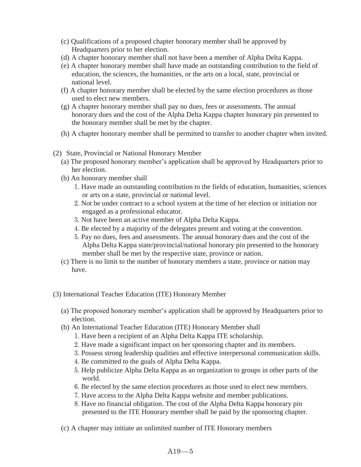- (c) Qualifications of a proposed chapter honorary member shall be approved by Headquarters prior to her election.
- (d) A chapter honorary member shall not have been a member of Alpha Delta Kappa.
- (e) A chapter honorary member shall have made an outstanding contribution to the field of education, the sciences, the humanities, or the arts on a local, state, provincial or national level.
- (f) A chapter honorary member shall be elected by the same election procedures as those used to elect new members.
- (g) A chapter honorary member shall pay no dues, fees or assessments. The annual honorary dues and the cost of the Alpha Delta Kappa chapter honorary pin presented to the honorary member shall be met by the chapter.
- (h) A chapter honorary member shall be permitted to transfer to another chapter when invited.
- (2) State, Provincial or National Honorary Member
	- (a) The proposed honorary member's application shall be approved by Headquarters prior to her election.
	- (b) An honorary member shall
		- 1. Have made an outstanding contribution to the fields of education, humanities, sciences or arts on a state, provincial or national level.
		- 2. Not be under contract to a school system at the time of her election or initiation nor engaged as a professional educator.
		- 3. Not have been an active member of Alpha Delta Kappa.
		- 4. Be elected by a majority of the delegates present and voting at the convention.
		- 5. Pay no dues, fees and assessments. The annual honorary dues and the cost of the Alpha Delta Kappa state/provincial/national honorary pin presented to the honorary member shall be met by the respective state, province or nation.
	- (c) There is no limit to the number of honorary members a state, province or nation may have.
- (3) International Teacher Education (ITE) Honorary Member
	- (a) The proposed honorary member's application shall be approved by Headquarters prior to election.
	- (b) An International Teacher Education (ITE) Honorary Member shall
		- 1. Have been a recipient of an Alpha Delta Kappa ITE scholarship.
		- 2. Have made a significant impact on her sponsoring chapter and its members.
		- 3. Possess strong leadership qualities and effective interpersonal communication skills.
		- 4. Be committed to the goals of Alpha Delta Kappa.
		- 5. Help publicize Alpha Delta Kappa as an organization to groups in other parts of the world.
		- 6. Be elected by the same election procedures as those used to elect new members.
		- 7. Have access to the Alpha Delta Kappa website and member publications.
		- 8. Have no financial obligation. The cost of the Alpha Delta Kappa honorary pin presented to the ITE Honorary member shall be paid by the sponsoring chapter.
	- (c) A chapter may initiate an unlimited number of ITE Honorary members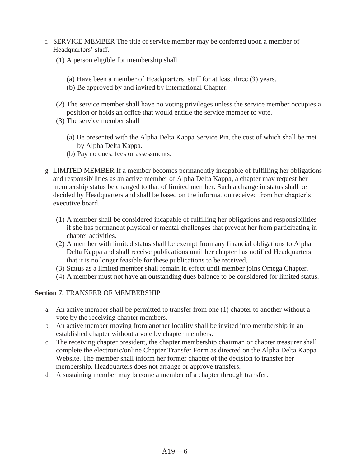- f. SERVICE MEMBER The title of service member may be conferred upon a member of Headquarters' staff.
	- (1) A person eligible for membership shall
		- (a) Have been a member of Headquarters' staff for at least three (3) years.
		- (b) Be approved by and invited by International Chapter.
	- (2) The service member shall have no voting privileges unless the service member occupies a position or holds an office that would entitle the service member to vote.
	- (3) The service member shall
		- (a) Be presented with the Alpha Delta Kappa Service Pin, the cost of which shall be met by Alpha Delta Kappa.
		- (b) Pay no dues, fees or assessments.
- g. LIMITED MEMBER If a member becomes permanently incapable of fulfilling her obligations and responsibilities as an active member of Alpha Delta Kappa, a chapter may request her membership status be changed to that of limited member. Such a change in status shall be decided by Headquarters and shall be based on the information received from her chapter's executive board.
	- (1) A member shall be considered incapable of fulfilling her obligations and responsibilities if she has permanent physical or mental challenges that prevent her from participating in chapter activities.
	- (2) A member with limited status shall be exempt from any financial obligations to Alpha Delta Kappa and shall receive publications until her chapter has notified Headquarters that it is no longer feasible for these publications to be received.
	- (3) Status as a limited member shall remain in effect until member joins Omega Chapter.
	- (4) A member must not have an outstanding dues balance to be considered for limited status.

#### **Section 7.** TRANSFER OF MEMBERSHIP

- a. An active member shall be permitted to transfer from one (1) chapter to another without a vote by the receiving chapter members.
- b. An active member moving from another locality shall be invited into membership in an established chapter without a vote by chapter members.
- c. The receiving chapter president, the chapter membership chairman or chapter treasurer shall complete the electronic/online Chapter Transfer Form as directed on the Alpha Delta Kappa Website. The member shall inform her former chapter of the decision to transfer her membership. Headquarters does not arrange or approve transfers.
- d. A sustaining member may become a member of a chapter through transfer.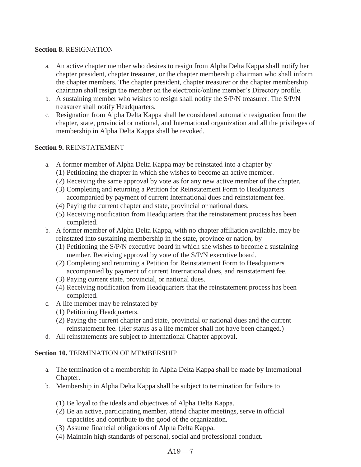### **Section 8.** RESIGNATION

- a. An active chapter member who desires to resign from Alpha Delta Kappa shall notify her chapter president, chapter treasurer, or the chapter membership chairman who shall inform the chapter members. The chapter president, chapter treasurer or the chapter membership chairman shall resign the member on the electronic/online member's Directory profile.
- b. A sustaining member who wishes to resign shall notify the S/P/N treasurer. The S/P/N treasurer shall notify Headquarters.
- c. Resignation from Alpha Delta Kappa shall be considered automatic resignation from the chapter, state, provincial or national, and International organization and all the privileges of membership in Alpha Delta Kappa shall be revoked.

#### **Section 9.** REINSTATEMENT

- a. A former member of Alpha Delta Kappa may be reinstated into a chapter by
	- (1) Petitioning the chapter in which she wishes to become an active member.
	- (2) Receiving the same approval by vote as for any new active member of the chapter.
	- (3) Completing and returning a Petition for Reinstatement Form to Headquarters accompanied by payment of current International dues and reinstatement fee.
	- (4) Paying the current chapter and state, provincial or national dues.
	- (5) Receiving notification from Headquarters that the reinstatement process has been completed.
- b. A former member of Alpha Delta Kappa, with no chapter affiliation available, may be reinstated into sustaining membership in the state, province or nation, by
	- (1) Petitioning the S/P/N executive board in which she wishes to become a sustaining member. Receiving approval by vote of the S/P/N executive board.
	- (2) Completing and returning a Petition for Reinstatement Form to Headquarters accompanied by payment of current International dues, and reinstatement fee.
	- (3) Paying current state, provincial, or national dues.
	- (4) Receiving notification from Headquarters that the reinstatement process has been completed.
- c. A life member may be reinstated by
	- (1) Petitioning Headquarters.
	- (2) Paying the current chapter and state, provincial or national dues and the current reinstatement fee. (Her status as a life member shall not have been changed.)
- d. All reinstatements are subject to International Chapter approval.

### **Section 10. TERMINATION OF MEMBERSHIP**

- a. The termination of a membership in Alpha Delta Kappa shall be made by International Chapter.
- b. Membership in Alpha Delta Kappa shall be subject to termination for failure to
	- (1) Be loyal to the ideals and objectives of Alpha Delta Kappa.
	- (2) Be an active, participating member, attend chapter meetings, serve in official capacities and contribute to the good of the organization.
	- (3) Assume financial obligations of Alpha Delta Kappa.
	- (4) Maintain high standards of personal, social and professional conduct.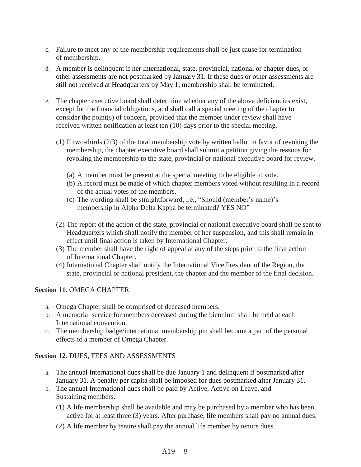- c. Failure to meet any of the membership requirements shall be just cause for termination of membership.
- d. A member is delinquent if her International, state, provincial, national or chapter dues, or other assessments are not postmarked by January 31. If these dues or other assessments are still not received at Headquarters by May 1, membership shall be terminated.
- e. The chapter executive board shall determine whether any of the above deficiencies exist, except for the financial obligations, and shall call a special meeting of the chapter to consider the point(s) of concern, provided that the member under review shall have received written notification at least ten (10) days prior to the special meeting.
	- (1) If two-thirds (2/3) of the total membership vote by written ballot in favor of revoking the membership, the chapter executive board shall submit a petition giving the reasons for revoking the membership to the state, provincial or national executive board for review.
		- (a) A member must be present at the special meeting to be eligible to vote.
		- (b) A record must be made of which chapter members voted without resulting in a record of the actual votes of the members.
		- (c) The wording shall be straightforward, i.e., "Should (member's name)'s membership in Alpha Delta Kappa be terminated? YES NO"
	- (2) The report of the action of the state, provincial or national executive board shall be sent to Headquarters which shall notify the member of her suspension, and this shall remain in effect until final action is taken by International Chapter.
	- (3) The member shall have the right of appeal at any of the steps prior to the final action of International Chapter.
	- (4) International Chapter shall notify the International Vice President of the Region, the state, provincial or national president, the chapter and the member of the final decision.

### **Section 11.** OMEGA CHAPTER

- a. Omega Chapter shall be comprised of deceased members.
- b. A memorial service for members deceased during the biennium shall be held at each International convention.
- c. The membership badge/international membership pin shall become a part of the personal effects of a member of Omega Chapter.

### **Section 12.** DUES, FEES AND ASSESSMENTS

- a. The annual International dues shall be due January 1 and delinquent if postmarked after January 31. A penalty per capita shall be imposed for dues postmarked after January 31.
- b. The annual International dues shall be paid by Active, Active on Leave, and Sustaining members.
	- (1) A life membership shall be available and may be purchased by a member who has been active for at least three (3) years. After purchase, life members shall pay no annual dues.
	- (2) A life member by tenure shall pay the annual life member by tenure dues.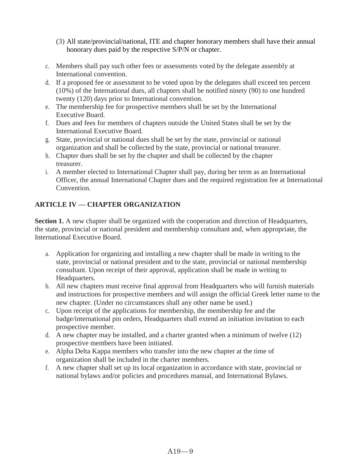- (3) All state/provincial/national, ITE and chapter honorary members shall have their annual honorary dues paid by the respective S/P/N or chapter.
- c. Members shall pay such other fees or assessments voted by the delegate assembly at International convention.
- d. If a proposed fee or assessment to be voted upon by the delegates shall exceed ten percent (10%) of the International dues, all chapters shall be notified ninety (90) to one hundred twenty (120) days prior to International convention.
- e. The membership fee for prospective members shall be set by the International Executive Board.
- f. Dues and fees for members of chapters outside the United States shall be set by the International Executive Board.
- g. State, provincial or national dues shall be set by the state, provincial or national organization and shall be collected by the state, provincial or national treasurer.
- h. Chapter dues shall be set by the chapter and shall be collected by the chapter treasurer.
- i. A member elected to International Chapter shall pay, during her term as an International Officer, the annual International Chapter dues and the required registration fee at International Convention.

# **ARTICLE IV — CHAPTER ORGANIZATION**

**Section 1.** A new chapter shall be organized with the cooperation and direction of Headquarters, the state, provincial or national president and membership consultant and, when appropriate, the International Executive Board.

- a. Application for organizing and installing a new chapter shall be made in writing to the state, provincial or national president and to the state, provincial or national membership consultant. Upon receipt of their approval, application shall be made in writing to Headquarters.
- b. All new chapters must receive final approval from Headquarters who will furnish materials and instructions for prospective members and will assign the official Greek letter name to the new chapter. (Under no circumstances shall any other name be used.)
- c. Upon receipt of the applications for membership, the membership fee and the badge/international pin orders, Headquarters shall extend an initiation invitation to each prospective member.
- d. A new chapter may be installed, and a charter granted when a minimum of twelve (12) prospective members have been initiated.
- e. Alpha Delta Kappa members who transfer into the new chapter at the time of organization shall be included in the charter members.
- f. A new chapter shall set up its local organization in accordance with state, provincial or national bylaws and/or policies and procedures manual, and International Bylaws.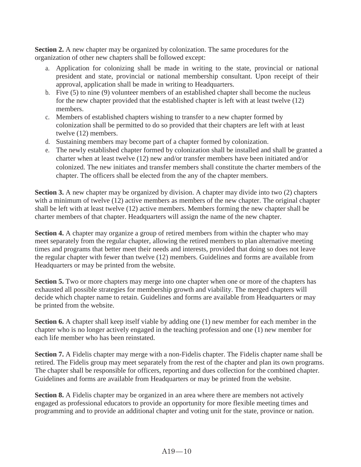**Section 2.** A new chapter may be organized by colonization. The same procedures for the organization of other new chapters shall be followed except:

- a. Application for colonizing shall be made in writing to the state, provincial or national president and state, provincial or national membership consultant. Upon receipt of their approval, application shall be made in writing to Headquarters.
- b. Five (5) to nine (9) volunteer members of an established chapter shall become the nucleus for the new chapter provided that the established chapter is left with at least twelve (12) members.
- c. Members of established chapters wishing to transfer to a new chapter formed by colonization shall be permitted to do so provided that their chapters are left with at least twelve (12) members.
- d. Sustaining members may become part of a chapter formed by colonization.
- e. The newly established chapter formed by colonization shall be installed and shall be granted a charter when at least twelve (12) new and/or transfer members have been initiated and/or colonized. The new initiates and transfer members shall constitute the charter members of the chapter. The officers shall be elected from the any of the chapter members.

**Section 3.** A new chapter may be organized by division. A chapter may divide into two (2) chapters with a minimum of twelve (12) active members as members of the new chapter. The original chapter shall be left with at least twelve (12) active members. Members forming the new chapter shall be charter members of that chapter. Headquarters will assign the name of the new chapter.

**Section 4.** A chapter may organize a group of retired members from within the chapter who may meet separately from the regular chapter, allowing the retired members to plan alternative meeting times and programs that better meet their needs and interests, provided that doing so does not leave the regular chapter with fewer than twelve (12) members. Guidelines and forms are available from Headquarters or may be printed from the website.

**Section 5.** Two or more chapters may merge into one chapter when one or more of the chapters has exhausted all possible strategies for membership growth and viability. The merged chapters will decide which chapter name to retain. Guidelines and forms are available from Headquarters or may be printed from the website.

**Section 6.** A chapter shall keep itself viable by adding one (1) new member for each member in the chapter who is no longer actively engaged in the teaching profession and one (1) new member for each life member who has been reinstated.

**Section 7.** A Fidelis chapter may merge with a non-Fidelis chapter. The Fidelis chapter name shall be retired. The Fidelis group may meet separately from the rest of the chapter and plan its own programs. The chapter shall be responsible for officers, reporting and dues collection for the combined chapter. Guidelines and forms are available from Headquarters or may be printed from the website.

**Section 8.** A Fidelis chapter may be organized in an area where there are members not actively engaged as professional educators to provide an opportunity for more flexible meeting times and programming and to provide an additional chapter and voting unit for the state, province or nation.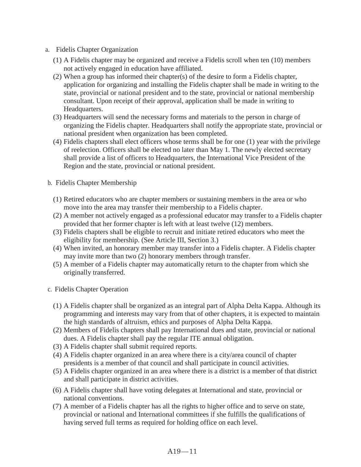- a. Fidelis Chapter Organization
	- (1) A Fidelis chapter may be organized and receive a Fidelis scroll when ten (10) members not actively engaged in education have affiliated.
	- (2) When a group has informed their chapter(s) of the desire to form a Fidelis chapter, application for organizing and installing the Fidelis chapter shall be made in writing to the state, provincial or national president and to the state, provincial or national membership consultant. Upon receipt of their approval, application shall be made in writing to Headquarters.
	- (3) Headquarters will send the necessary forms and materials to the person in charge of organizing the Fidelis chapter. Headquarters shall notify the appropriate state, provincial or national president when organization has been completed.
	- (4) Fidelis chapters shall elect officers whose terms shall be for one (1) year with the privilege of reelection. Officers shall be elected no later than May 1. The newly elected secretary shall provide a list of officers to Headquarters, the International Vice President of the Region and the state, provincial or national president.
- b. Fidelis Chapter Membership
	- (1) Retired educators who are chapter members or sustaining members in the area or who move into the area may transfer their membership to a Fidelis chapter.
	- (2) A member not actively engaged as a professional educator may transfer to a Fidelis chapter provided that her former chapter is left with at least twelve (12) members.
	- (3) Fidelis chapters shall be eligible to recruit and initiate retired educators who meet the eligibility for membership. (See Article III, Section 3.)
	- (4) When invited, an honorary member may transfer into a Fidelis chapter. A Fidelis chapter may invite more than two (2) honorary members through transfer.
	- (5) A member of a Fidelis chapter may automatically return to the chapter from which she originally transferred.
- c. Fidelis Chapter Operation
	- (1) A Fidelis chapter shall be organized as an integral part of Alpha Delta Kappa. Although its programming and interests may vary from that of other chapters, it is expected to maintain the high standards of altruism, ethics and purposes of Alpha Delta Kappa.
	- (2) Members of Fidelis chapters shall pay International dues and state, provincial or national dues. A Fidelis chapter shall pay the regular ITE annual obligation.
	- (3) A Fidelis chapter shall submit required reports.
	- (4) A Fidelis chapter organized in an area where there is a city/area council of chapter presidents is a member of that council and shall participate in council activities.
	- (5) A Fidelis chapter organized in an area where there is a district is a member of that district and shall participate in district activities.
	- (6) A Fidelis chapter shall have voting delegates at International and state, provincial or national conventions.
	- (7) A member of a Fidelis chapter has all the rights to higher office and to serve on state, provincial or national and International committees if she fulfills the qualifications of having served full terms as required for holding office on each level.

A19—11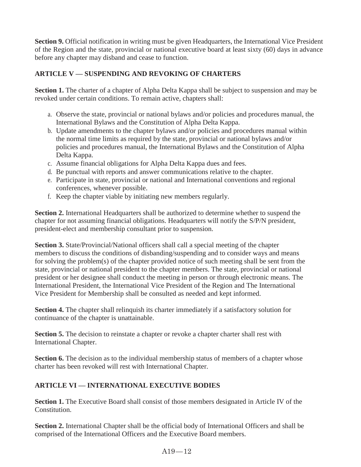**Section 9.** Official notification in writing must be given Headquarters, the International Vice President of the Region and the state, provincial or national executive board at least sixty (60) days in advance before any chapter may disband and cease to function.

# **ARTICLE V — SUSPENDING AND REVOKING OF CHARTERS**

**Section 1.** The charter of a chapter of Alpha Delta Kappa shall be subject to suspension and may be revoked under certain conditions. To remain active, chapters shall:

- a. Observe the state, provincial or national bylaws and/or policies and procedures manual, the International Bylaws and the Constitution of Alpha Delta Kappa.
- b. Update amendments to the chapter bylaws and/or policies and procedures manual within the normal time limits as required by the state, provincial or national bylaws and/or policies and procedures manual, the International Bylaws and the Constitution of Alpha Delta Kappa.
- c. Assume financial obligations for Alpha Delta Kappa dues and fees.
- d. Be punctual with reports and answer communications relative to the chapter.
- e. Participate in state, provincial or national and International conventions and regional conferences, whenever possible.
- f. Keep the chapter viable by initiating new members regularly.

**Section 2.** International Headquarters shall be authorized to determine whether to suspend the chapter for not assuming financial obligations. Headquarters will notify the S/P/N president, president-elect and membership consultant prior to suspension.

**Section 3.** State/Provincial/National officers shall call a special meeting of the chapter members to discuss the conditions of disbanding/suspending and to consider ways and means for solving the problem(s) of the chapter provided notice of such meeting shall be sent from the state, provincial or national president to the chapter members. The state, provincial or national president or her designee shall conduct the meeting in person or through electronic means. The International President, the International Vice President of the Region and The International Vice President for Membership shall be consulted as needed and kept informed.

**Section 4.** The chapter shall relinquish its charter immediately if a satisfactory solution for continuance of the chapter is unattainable.

**Section 5.** The decision to reinstate a chapter or revoke a chapter charter shall rest with International Chapter.

**Section 6.** The decision as to the individual membership status of members of a chapter whose charter has been revoked will rest with International Chapter.

# **ARTICLE VI — INTERNATIONAL EXECUTIVE BODIES**

**Section 1.** The Executive Board shall consist of those members designated in Article IV of the Constitution.

Section 2. International Chapter shall be the official body of International Officers and shall be comprised of the International Officers and the Executive Board members.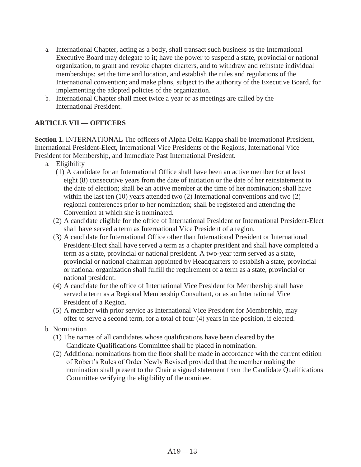- a. International Chapter, acting as a body, shall transact such business as the International Executive Board may delegate to it; have the power to suspend a state, provincial or national organization, to grant and revoke chapter charters, and to withdraw and reinstate individual memberships; set the time and location, and establish the rules and regulations of the International convention; and make plans, subject to the authority of the Executive Board, for implementing the adopted policies of the organization.
- b. International Chapter shall meet twice a year or as meetings are called by the International President.

# **ARTICLE VII — OFFICERS**

Section 1. **INTERNATIONAL** The officers of Alpha Delta Kappa shall be International President, International President-Elect, International Vice Presidents of the Regions, International Vice President for Membership, and Immediate Past International President.

- a. Eligibility
	- (1) A candidate for an International Office shall have been an active member for at least eight (8) consecutive years from the date of initiation or the date of her reinstatement to the date of election; shall be an active member at the time of her nomination; shall have within the last ten (10) years attended two (2) International conventions and two (2) regional conferences prior to her nomination; shall be registered and attending the Convention at which she is nominated.
	- (2) A candidate eligible for the office of International President or International President-Elect shall have served a term as International Vice President of a region.
	- (3) A candidate for International Office other than International President or International President-Elect shall have served a term as a chapter president and shall have completed a term as a state, provincial or national president. A two-year term served as a state, provincial or national chairman appointed by Headquarters to establish a state, provincial or national organization shall fulfill the requirement of a term as a state, provincial or national president.
	- (4) A candidate for the office of International Vice President for Membership shall have served a term as a Regional Membership Consultant, or as an International Vice President of a Region.
	- (5) A member with prior service as International Vice President for Membership, may offer to serve a second term, for a total of four (4) years in the position, if elected.
- b. Nomination
	- (1) The names of all candidates whose qualifications have been cleared by the Candidate Qualifications Committee shall be placed in nomination.
	- (2) Additional nominations from the floor shall be made in accordance with the current edition of Robert's Rules of Order Newly Revised provided that the member making the nomination shall present to the Chair a signed statement from the Candidate Qualifications Committee verifying the eligibility of the nominee.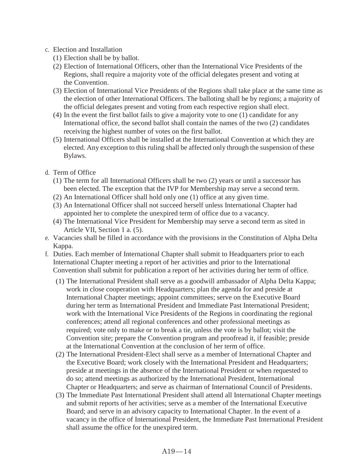#### c. Election and Installation

- (1) Election shall be by ballot.
- (2) Election of International Officers, other than the International Vice Presidents of the Regions, shall require a majority vote of the official delegates present and voting at the Convention.
- (3) Election of International Vice Presidents of the Regions shall take place at the same time as the election of other International Officers. The balloting shall be by regions; a majority of the official delegates present and voting from each respective region shall elect.
- (4) In the event the first ballot fails to give a majority vote to one (1) candidate for any International office, the second ballot shall contain the names of the two (2) candidates receiving the highest number of votes on the first ballot.
- (5) International Officers shall be installed at the International Convention at which they are elected. Any exception to this ruling shall be affected only through the suspension of these Bylaws.
- d. Term of Office
	- (1) The term for all International Officers shall be two (2) years or until a successor has been elected. The exception that the IVP for Membership may serve a second term.
	- (2) An International Officer shall hold only one (1) office at any given time.
	- (3) An International Officer shall not succeed herself unless International Chapter had appointed her to complete the unexpired term of office due to a vacancy.
	- (4) The International Vice President for Membership may serve a second term as sited in Article VII, Section 1 a. (5).
- e. Vacancies shall be filled in accordance with the provisions in the Constitution of Alpha Delta Kappa.
- f. Duties. Each member of International Chapter shall submit to Headquarters prior to each International Chapter meeting a report of her activities and prior to the International Convention shall submit for publication a report of her activities during her term of office.
	- (1) The International President shall serve as a goodwill ambassador of Alpha Delta Kappa; work in close cooperation with Headquarters; plan the agenda for and preside at International Chapter meetings; appoint committees; serve on the Executive Board during her term as International President and Immediate Past International President; work with the International Vice Presidents of the Regions in coordinating the regional conferences; attend all regional conferences and other professional meetings as required; vote only to make or to break a tie, unless the vote is by ballot; visit the Convention site; prepare the Convention program and proofread it, if feasible; preside at the International Convention at the conclusion of her term of office.
	- (2) The International President-Elect shall serve as a member of International Chapter and the Executive Board; work closely with the International President and Headquarters; preside at meetings in the absence of the International President or when requested to do so; attend meetings as authorized by the International President, International Chapter or Headquarters; and serve as chairman of International Council of Presidents.
	- (3) The Immediate Past International President shall attend all International Chapter meetings and submit reports of her activities; serve as a member of the International Executive Board; and serve in an advisory capacity to International Chapter. In the event of a vacancy in the office of International President, the Immediate Past International President shall assume the office for the unexpired term.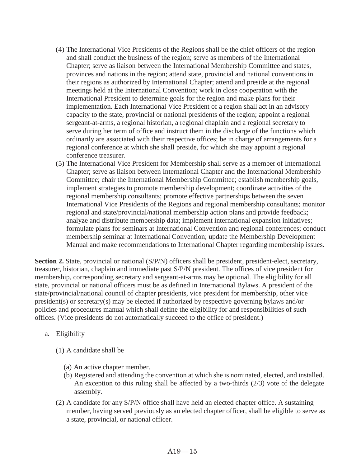- (4) The International Vice Presidents of the Regions shall be the chief officers of the region and shall conduct the business of the region; serve as members of the International Chapter; serve as liaison between the International Membership Committee and states, provinces and nations in the region; attend state, provincial and national conventions in their regions as authorized by International Chapter; attend and preside at the regional meetings held at the International Convention; work in close cooperation with the International President to determine goals for the region and make plans for their implementation. Each International Vice President of a region shall act in an advisory capacity to the state, provincial or national presidents of the region; appoint a regional sergeant-at-arms, a regional historian, a regional chaplain and a regional secretary to serve during her term of office and instruct them in the discharge of the functions which ordinarily are associated with their respective offices; be in charge of arrangements for a regional conference at which she shall preside, for which she may appoint a regional conference treasurer.
- (5) The International Vice President for Membership shall serve as a member of International Chapter; serve as liaison between International Chapter and the International Membership Committee; chair the International Membership Committee; establish membership goals, implement strategies to promote membership development; coordinate activities of the regional membership consultants; promote effective partnerships between the seven International Vice Presidents of the Regions and regional membership consultants; monitor regional and state/provincial/national membership action plans and provide feedback; analyze and distribute membership data; implement international expansion initiatives; formulate plans for seminars at International Convention and regional conferences; conduct membership seminar at International Convention; update the Membership Development Manual and make recommendations to International Chapter regarding membership issues.

**Section 2.** State, provincial or national (S/P/N) officers shall be president, president-elect, secretary, treasurer, historian, chaplain and immediate past S/P/N president. The offices of vice president for membership, corresponding secretary and sergeant-at-arms may be optional. The eligibility for all state, provincial or national officers must be as defined in International Bylaws. A president of the state/provincial/national council of chapter presidents, vice president for membership, other vice president(s) or secretary(s) may be elected if authorized by respective governing bylaws and/or policies and procedures manual which shall define the eligibility for and responsibilities of such offices. (Vice presidents do not automatically succeed to the office of president.)

- a. Eligibility
	- (1) A candidate shall be
		- (a) An active chapter member.
		- (b) Registered and attending the convention at which she is nominated, elected, and installed. An exception to this ruling shall be affected by a two-thirds (2/3) vote of the delegate assembly.
	- (2) A candidate for any S/P/N office shall have held an elected chapter office. A sustaining member, having served previously as an elected chapter officer, shall be eligible to serve as a state, provincial, or national officer.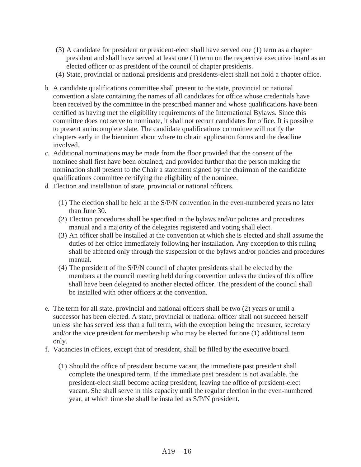- (3) A candidate for president or president-elect shall have served one (1) term as a chapter president and shall have served at least one (1) term on the respective executive board as an elected officer or as president of the council of chapter presidents.
- (4) State, provincial or national presidents and presidents-elect shall not hold a chapter office.
- b. A candidate qualifications committee shall present to the state, provincial or national convention a slate containing the names of all candidates for office whose credentials have been received by the committee in the prescribed manner and whose qualifications have been certified as having met the eligibility requirements of the International Bylaws. Since this committee does not serve to nominate, it shall not recruit candidates for office. It is possible to present an incomplete slate. The candidate qualifications committee will notify the chapters early in the biennium about where to obtain application forms and the deadline involved.
- c. Additional nominations may be made from the floor provided that the consent of the nominee shall first have been obtained; and provided further that the person making the nomination shall present to the Chair a statement signed by the chairman of the candidate qualifications committee certifying the eligibility of the nominee.
- d. Election and installation of state, provincial or national officers.
	- (1) The election shall be held at the S/P/N convention in the even-numbered years no later than June 30.
	- (2) Election procedures shall be specified in the bylaws and/or policies and procedures manual and a majority of the delegates registered and voting shall elect.
	- (3) An officer shall be installed at the convention at which she is elected and shall assume the duties of her office immediately following her installation. Any exception to this ruling shall be affected only through the suspension of the bylaws and/or policies and procedures manual.
	- (4) The president of the S/P/N council of chapter presidents shall be elected by the members at the council meeting held during convention unless the duties of this office shall have been delegated to another elected officer. The president of the council shall be installed with other officers at the convention.
- e. The term for all state, provincial and national officers shall be two (2) years or until a successor has been elected. A state, provincial or national officer shall not succeed herself unless she has served less than a full term, with the exception being the treasurer, secretary and/or the vice president for membership who may be elected for one (1) additional term only.
- f. Vacancies in offices, except that of president, shall be filled by the executive board.
	- (1) Should the office of president become vacant, the immediate past president shall complete the unexpired term. If the immediate past president is not available, the president-elect shall become acting president, leaving the office of president-elect vacant. She shall serve in this capacity until the regular election in the even-numbered year, at which time she shall be installed as S/P/N president.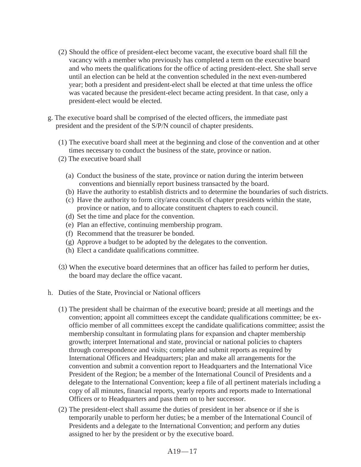- (2) Should the office of president-elect become vacant, the executive board shall fill the vacancy with a member who previously has completed a term on the executive board and who meets the qualifications for the office of acting president-elect. She shall serve until an election can be held at the convention scheduled in the next even-numbered year; both a president and president-elect shall be elected at that time unless the office was vacated because the president-elect became acting president. In that case, only a president-elect would be elected.
- g. The executive board shall be comprised of the elected officers, the immediate past president and the president of the S/P/N council of chapter presidents.
	- (1) The executive board shall meet at the beginning and close of the convention and at other times necessary to conduct the business of the state, province or nation.
	- (2) The executive board shall
		- (a) Conduct the business of the state, province or nation during the interim between conventions and biennially report business transacted by the board.
		- (b) Have the authority to establish districts and to determine the boundaries of such districts.
		- (c) Have the authority to form city/area councils of chapter presidents within the state, province or nation, and to allocate constituent chapters to each council.
		- (d) Set the time and place for the convention.
		- (e) Plan an effective, continuing membership program.
		- (f) Recommend that the treasurer be bonded.
		- (g) Approve a budget to be adopted by the delegates to the convention.
		- (h) Elect a candidate qualifications committee.
	- (3) When the executive board determines that an officer has failed to perform her duties, the board may declare the office vacant.
- h. Duties of the State, Provincial or National officers
	- (1) The president shall be chairman of the executive board; preside at all meetings and the convention; appoint all committees except the candidate qualifications committee; be exofficio member of all committees except the candidate qualifications committee; assist the membership consultant in formulating plans for expansion and chapter membership growth; interpret International and state, provincial or national policies to chapters through correspondence and visits; complete and submit reports as required by International Officers and Headquarters; plan and make all arrangements for the convention and submit a convention report to Headquarters and the International Vice President of the Region; be a member of the International Council of Presidents and a delegate to the International Convention; keep a file of all pertinent materials including a copy of all minutes, financial reports, yearly reports and reports made to International Officers or to Headquarters and pass them on to her successor.
	- (2) The president-elect shall assume the duties of president in her absence or if she is temporarily unable to perform her duties; be a member of the International Council of Presidents and a delegate to the International Convention; and perform any duties assigned to her by the president or by the executive board.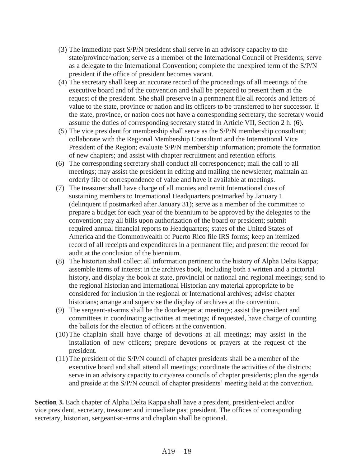- (3) The immediate past S/P/N president shall serve in an advisory capacity to the state/province/nation; serve as a member of the International Council of Presidents; serve as a delegate to the International Convention; complete the unexpired term of the S/P/N president if the office of president becomes vacant.
- (4) The secretary shall keep an accurate record of the proceedings of all meetings of the executive board and of the convention and shall be prepared to present them at the request of the president. She shall preserve in a permanent file all records and letters of value to the state, province or nation and its officers to be transferred to her successor. If the state, province, or nation does not have a corresponding secretary, the secretary would assume the duties of corresponding secretary stated in Article VII, Section 2 h. (6).
- (5) The vice president for membership shall serve as the S/P/N membership consultant; collaborate with the Regional Membership Consultant and the International Vice President of the Region; evaluate S/P/N membership information; promote the formation of new chapters; and assist with chapter recruitment and retention efforts.
- (6) The corresponding secretary shall conduct all correspondence; mail the call to all meetings; may assist the president in editing and mailing the newsletter; maintain an orderly file of correspondence of value and have it available at meetings.
- (7) The treasurer shall have charge of all monies and remit International dues of sustaining members to International Headquarters postmarked by January 1 (delinquent if postmarked after January 31); serve as a member of the committee to prepare a budget for each year of the biennium to be approved by the delegates to the convention; pay all bills upon authorization of the board or president; submit required annual financial reports to Headquarters; states of the United States of America and the Commonwealth of Puerto Rico file IRS forms; keep an itemized record of all receipts and expenditures in a permanent file; and present the record for audit at the conclusion of the biennium.
- (8) The historian shall collect all information pertinent to the history of Alpha Delta Kappa; assemble items of interest in the archives book, including both a written and a pictorial history, and display the book at state, provincial or national and regional meetings; send to the regional historian and International Historian any material appropriate to be considered for inclusion in the regional or International archives; advise chapter historians; arrange and supervise the display of archives at the convention.
- (9) The sergeant-at-arms shall be the doorkeeper at meetings; assist the president and committees in coordinating activities at meetings; if requested, have charge of counting the ballots for the election of officers at the convention.
- (10)The chaplain shall have charge of devotions at all meetings; may assist in the installation of new officers; prepare devotions or prayers at the request of the president.
- (11)The president of the S/P/N council of chapter presidents shall be a member of the executive board and shall attend all meetings; coordinate the activities of the districts; serve in an advisory capacity to city/area councils of chapter presidents; plan the agenda and preside at the S/P/N council of chapter presidents' meeting held at the convention.

**Section 3.** Each chapter of Alpha Delta Kappa shall have a president, president-elect and/or vice president, secretary, treasurer and immediate past president. The offices of corresponding secretary, historian, sergeant-at-arms and chaplain shall be optional.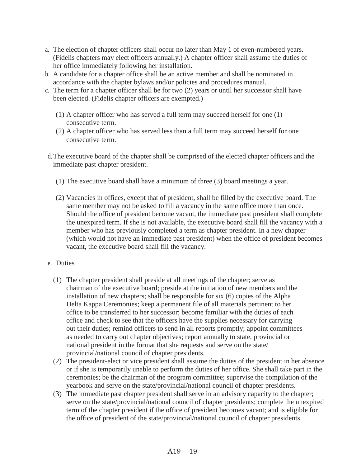- a. The election of chapter officers shall occur no later than May 1 of even-numbered years. (Fidelis chapters may elect officers annually.) A chapter officer shall assume the duties of her office immediately following her installation.
- b. A candidate for a chapter office shall be an active member and shall be nominated in accordance with the chapter bylaws and/or policies and procedures manual.
- c. The term for a chapter officer shall be for two (2) years or until her successor shall have been elected. (Fidelis chapter officers are exempted.)
	- (1) A chapter officer who has served a full term may succeed herself for one (1) consecutive term.
	- (2) A chapter officer who has served less than a full term may succeed herself for one consecutive term.
- d.The executive board of the chapter shall be comprised of the elected chapter officers and the immediate past chapter president.
	- (1) The executive board shall have a minimum of three (3) board meetings a year.
	- (2) Vacancies in offices, except that of president, shall be filled by the executive board. The same member may not be asked to fill a vacancy in the same office more than once. Should the office of president become vacant, the immediate past president shall complete the unexpired term. If she is not available, the executive board shall fill the vacancy with a member who has previously completed a term as chapter president. In a new chapter (which would not have an immediate past president) when the office of president becomes vacant, the executive board shall fill the vacancy.
- e. Duties
	- (1) The chapter president shall preside at all meetings of the chapter; serve as chairman of the executive board; preside at the initiation of new members and the installation of new chapters; shall be responsible for six (6) copies of the Alpha Delta Kappa Ceremonies; keep a permanent file of all materials pertinent to her office to be transferred to her successor; become familiar with the duties of each office and check to see that the officers have the supplies necessary for carrying out their duties; remind officers to send in all reports promptly; appoint committees as needed to carry out chapter objectives; report annually to state, provincial or national president in the format that she requests and serve on the state/ provincial/national council of chapter presidents.
	- (2) The president-elect or vice president shall assume the duties of the president in her absence or if she is temporarily unable to perform the duties of her office. She shall take part in the ceremonies; be the chairman of the program committee; supervise the compilation of the yearbook and serve on the state/provincial/national council of chapter presidents.
	- (3) The immediate past chapter president shall serve in an advisory capacity to the chapter; serve on the state/provincial/national council of chapter presidents; complete the unexpired term of the chapter president if the office of president becomes vacant; and is eligible for the office of president of the state/provincial/national council of chapter presidents.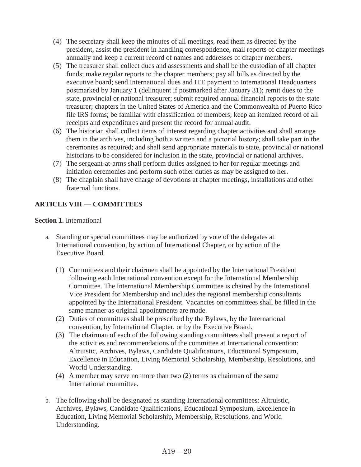- (4) The secretary shall keep the minutes of all meetings, read them as directed by the president, assist the president in handling correspondence, mail reports of chapter meetings annually and keep a current record of names and addresses of chapter members.
- (5) The treasurer shall collect dues and assessments and shall be the custodian of all chapter funds; make regular reports to the chapter members; pay all bills as directed by the executive board; send International dues and ITE payment to International Headquarters postmarked by January 1 (delinquent if postmarked after January 31); remit dues to the state, provincial or national treasurer; submit required annual financial reports to the state treasurer; chapters in the United States of America and the Commonwealth of Puerto Rico file IRS forms; be familiar with classification of members; keep an itemized record of all receipts and expenditures and present the record for annual audit.
- (6) The historian shall collect items of interest regarding chapter activities and shall arrange them in the archives, including both a written and a pictorial history; shall take part in the ceremonies as required; and shall send appropriate materials to state, provincial or national historians to be considered for inclusion in the state, provincial or national archives.
- (7) The sergeant-at-arms shall perform duties assigned to her for regular meetings and initiation ceremonies and perform such other duties as may be assigned to her.
- (8) The chaplain shall have charge of devotions at chapter meetings, installations and other fraternal functions.

# **ARTICLE VIII — COMMITTEES**

#### **Section 1.** International

- a. Standing or special committees may be authorized by vote of the delegates at International convention, by action of International Chapter, or by action of the Executive Board.
	- (1) Committees and their chairmen shall be appointed by the International President following each International convention except for the International Membership Committee. The International Membership Committee is chaired by the International Vice President for Membership and includes the regional membership consultants appointed by the International President. Vacancies on committees shall be filled in the same manner as original appointments are made.
	- (2) Duties of committees shall be prescribed by the Bylaws, by the International convention, by International Chapter, or by the Executive Board.
	- (3) The chairman of each of the following standing committees shall present a report of the activities and recommendations of the committee at International convention: Altruistic, Archives, Bylaws, Candidate Qualifications, Educational Symposium, Excellence in Education, Living Memorial Scholarship, Membership, Resolutions, and World Understanding.
	- (4) A member may serve no more than two (2) terms as chairman of the same International committee.
- b. The following shall be designated as standing International committees: Altruistic, Archives, Bylaws, Candidate Qualifications, Educational Symposium, Excellence in Education, Living Memorial Scholarship, Membership, Resolutions, and World Understanding.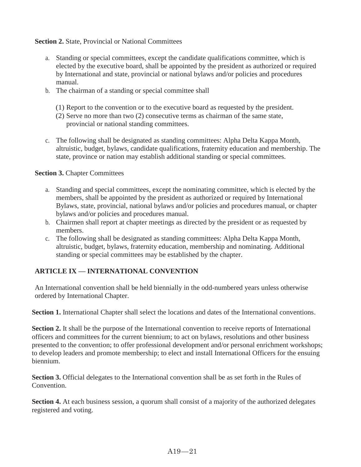**Section 2.** State, Provincial or National Committees

- a. Standing or special committees, except the candidate qualifications committee, which is elected by the executive board, shall be appointed by the president as authorized or required by International and state, provincial or national bylaws and/or policies and procedures manual.
- b. The chairman of a standing or special committee shall
	- (1) Report to the convention or to the executive board as requested by the president.
	- (2) Serve no more than two (2) consecutive terms as chairman of the same state, provincial or national standing committees.
- c. The following shall be designated as standing committees: Alpha Delta Kappa Month, altruistic, budget, bylaws, candidate qualifications, fraternity education and membership. The state, province or nation may establish additional standing or special committees.

**Section 3.** Chapter Committees

- a. Standing and special committees, except the nominating committee, which is elected by the members, shall be appointed by the president as authorized or required by International Bylaws, state, provincial, national bylaws and/or policies and procedures manual, or chapter bylaws and/or policies and procedures manual.
- b. Chairmen shall report at chapter meetings as directed by the president or as requested by members.
- c. The following shall be designated as standing committees: Alpha Delta Kappa Month, altruistic, budget, bylaws, fraternity education, membership and nominating. Additional standing or special committees may be established by the chapter.

### **ARTICLE IX — INTERNATIONAL CONVENTION**

An International convention shall be held biennially in the odd-numbered years unless otherwise ordered by International Chapter.

**Section 1.** International Chapter shall select the locations and dates of the International conventions.

**Section 2.** It shall be the purpose of the International convention to receive reports of International officers and committees for the current biennium; to act on bylaws, resolutions and other business presented to the convention; to offer professional development and/or personal enrichment workshops; to develop leaders and promote membership; to elect and install International Officers for the ensuing biennium.

**Section 3.** Official delegates to the International convention shall be as set forth in the Rules of Convention.

**Section 4.** At each business session, a quorum shall consist of a majority of the authorized delegates registered and voting.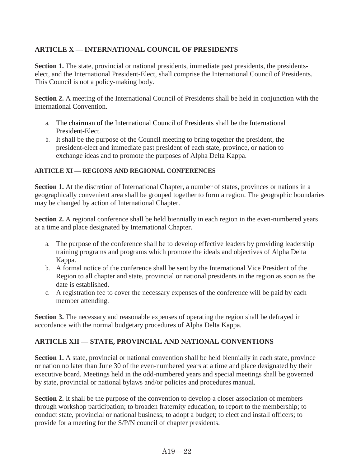# **ARTICLE X — INTERNATIONAL COUNCIL OF PRESIDENTS**

**Section 1.** The state, provincial or national presidents, immediate past presidents, the presidentselect, and the International President-Elect, shall comprise the International Council of Presidents. This Council is not a policy-making body.

**Section 2.** A meeting of the International Council of Presidents shall be held in conjunction with the International Convention.

- a. The chairman of the International Council of Presidents shall be the International President-Elect.
- b. It shall be the purpose of the Council meeting to bring together the president, the president-elect and immediate past president of each state, province, or nation to exchange ideas and to promote the purposes of Alpha Delta Kappa.

### **ARTICLE XI — REGIONS AND REGIONAL CONFERENCES**

**Section 1.** At the discretion of International Chapter, a number of states, provinces or nations in a geographically convenient area shall be grouped together to form a region. The geographic boundaries may be changed by action of International Chapter.

**Section 2.** A regional conference shall be held biennially in each region in the even-numbered years at a time and place designated by International Chapter.

- a. The purpose of the conference shall be to develop effective leaders by providing leadership training programs and programs which promote the ideals and objectives of Alpha Delta Kappa.
- b. A formal notice of the conference shall be sent by the International Vice President of the Region to all chapter and state, provincial or national presidents in the region as soon as the date is established.
- c. A registration fee to cover the necessary expenses of the conference will be paid by each member attending.

**Section 3.** The necessary and reasonable expenses of operating the region shall be defrayed in accordance with the normal budgetary procedures of Alpha Delta Kappa.

# **ARTICLE XII — STATE, PROVINCIAL AND NATIONAL CONVENTIONS**

**Section 1.** A state, provincial or national convention shall be held biennially in each state, province or nation no later than June 30 of the even-numbered years at a time and place designated by their executive board. Meetings held in the odd-numbered years and special meetings shall be governed by state, provincial or national bylaws and/or policies and procedures manual.

**Section 2.** It shall be the purpose of the convention to develop a closer association of members through workshop participation; to broaden fraternity education; to report to the membership; to conduct state, provincial or national business; to adopt a budget; to elect and install officers; to provide for a meeting for the S/P/N council of chapter presidents.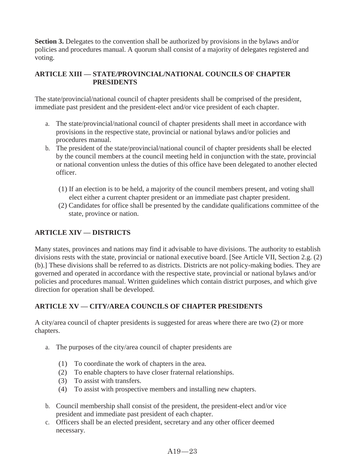**Section 3.** Delegates to the convention shall be authorized by provisions in the bylaws and/or policies and procedures manual. A quorum shall consist of a majority of delegates registered and voting.

### **ARTICLE XIII — STATE/PROVINCIAL/NATIONAL COUNCILS OF CHAPTER PRESIDENTS**

The state/provincial/national council of chapter presidents shall be comprised of the president, immediate past president and the president-elect and/or vice president of each chapter.

- a. The state/provincial/national council of chapter presidents shall meet in accordance with provisions in the respective state, provincial or national bylaws and/or policies and procedures manual.
- b. The president of the state/provincial/national council of chapter presidents shall be elected by the council members at the council meeting held in conjunction with the state, provincial or national convention unless the duties of this office have been delegated to another elected officer.
	- (1) If an election is to be held, a majority of the council members present, and voting shall elect either a current chapter president or an immediate past chapter president.
	- (2) Candidates for office shall be presented by the candidate qualifications committee of the state, province or nation.

# **ARTICLE XIV — DISTRICTS**

Many states, provinces and nations may find it advisable to have divisions. The authority to establish divisions rests with the state, provincial or national executive board. [See Article VII, Section 2.g. (2) (b).] These divisions shall be referred to as districts. Districts are not policy-making bodies. They are governed and operated in accordance with the respective state, provincial or national bylaws and/or policies and procedures manual. Written guidelines which contain district purposes, and which give direction for operation shall be developed.

# **ARTICLE XV — CITY/AREA COUNCILS OF CHAPTER PRESIDENTS**

A city/area council of chapter presidents is suggested for areas where there are two (2) or more chapters.

- a. The purposes of the city/area council of chapter presidents are
	- (1) To coordinate the work of chapters in the area.
	- (2) To enable chapters to have closer fraternal relationships.
	- (3) To assist with transfers.
	- (4) To assist with prospective members and installing new chapters.
- b. Council membership shall consist of the president, the president-elect and/or vice president and immediate past president of each chapter.
- c. Officers shall be an elected president, secretary and any other officer deemed necessary.

#### A19—23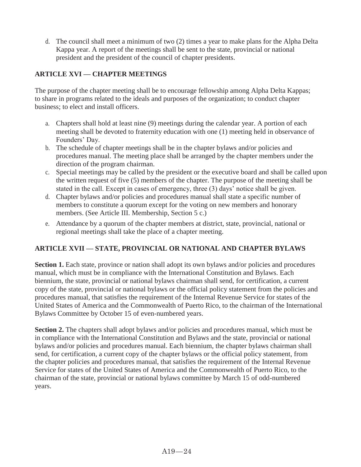d. The council shall meet a minimum of two (2) times a year to make plans for the Alpha Delta Kappa year. A report of the meetings shall be sent to the state, provincial or national president and the president of the council of chapter presidents.

# **ARTICLE XVI — CHAPTER MEETINGS**

The purpose of the chapter meeting shall be to encourage fellowship among Alpha Delta Kappas; to share in programs related to the ideals and purposes of the organization; to conduct chapter business; to elect and install officers.

- a. Chapters shall hold at least nine (9) meetings during the calendar year. A portion of each meeting shall be devoted to fraternity education with one (1) meeting held in observance of Founders' Day.
- b. The schedule of chapter meetings shall be in the chapter bylaws and/or policies and procedures manual. The meeting place shall be arranged by the chapter members under the direction of the program chairman.
- c. Special meetings may be called by the president or the executive board and shall be called upon the written request of five (5) members of the chapter. The purpose of the meeting shall be stated in the call. Except in cases of emergency, three (3) days' notice shall be given.
- d. Chapter bylaws and/or policies and procedures manual shall state a specific number of members to constitute a quorum except for the voting on new members and honorary members. (See Article III. Membership, Section 5 c.)
- e. Attendance by a quorum of the chapter members at district, state, provincial, national or regional meetings shall take the place of a chapter meeting.

# **ARTICLE XVII — STATE, PROVINCIAL OR NATIONAL AND CHAPTER BYLAWS**

**Section 1.** Each state, province or nation shall adopt its own bylaws and/or policies and procedures manual, which must be in compliance with the International Constitution and Bylaws. Each biennium, the state, provincial or national bylaws chairman shall send, for certification, a current copy of the state, provincial or national bylaws or the official policy statement from the policies and procedures manual, that satisfies the requirement of the Internal Revenue Service for states of the United States of America and the Commonwealth of Puerto Rico, to the chairman of the International Bylaws Committee by October 15 of even-numbered years.

**Section 2.** The chapters shall adopt bylaws and/or policies and procedures manual, which must be in compliance with the International Constitution and Bylaws and the state, provincial or national bylaws and/or policies and procedures manual. Each biennium, the chapter bylaws chairman shall send, for certification, a current copy of the chapter bylaws or the official policy statement, from the chapter policies and procedures manual, that satisfies the requirement of the Internal Revenue Service for states of the United States of America and the Commonwealth of Puerto Rico, to the chairman of the state, provincial or national bylaws committee by March 15 of odd-numbered years.